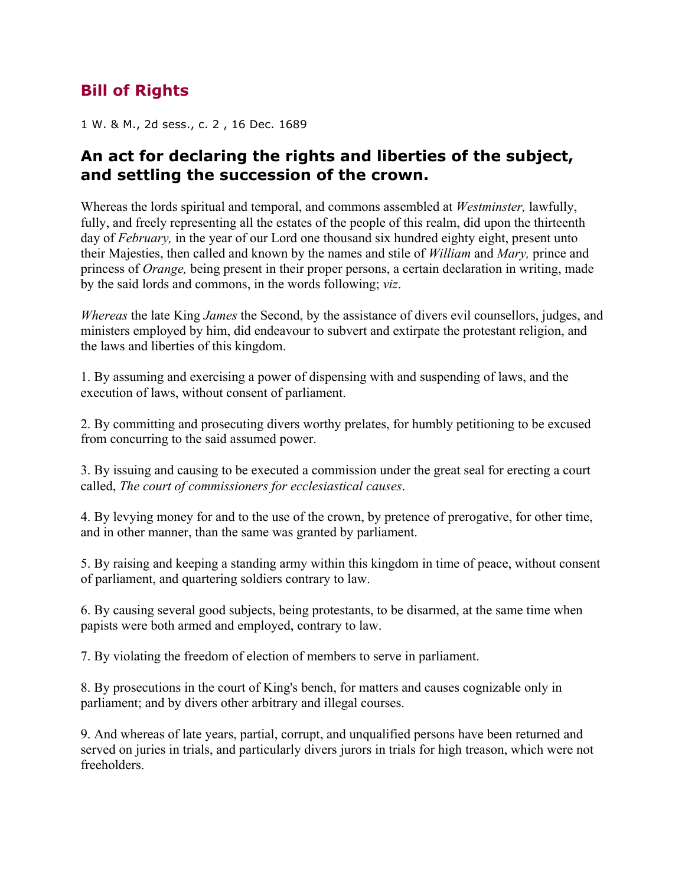## **Bill of Rights**

1 W. & M., 2d sess., c. 2 , 16 Dec. 1689

## **An act for declaring the rights and liberties of the subject, and settling the succession of the crown.**

Whereas the lords spiritual and temporal, and commons assembled at *Westminster,* lawfully, fully, and freely representing all the estates of the people of this realm, did upon the thirteenth day of *February,* in the year of our Lord one thousand six hundred eighty eight, present unto their Majesties, then called and known by the names and stile of *William* and *Mary,* prince and princess of *Orange,* being present in their proper persons, a certain declaration in writing, made by the said lords and commons, in the words following; *viz*.

*Whereas* the late King *James* the Second, by the assistance of divers evil counsellors, judges, and ministers employed by him, did endeavour to subvert and extirpate the protestant religion, and the laws and liberties of this kingdom.

1. By assuming and exercising a power of dispensing with and suspending of laws, and the execution of laws, without consent of parliament.

2. By committing and prosecuting divers worthy prelates, for humbly petitioning to be excused from concurring to the said assumed power.

3. By issuing and causing to be executed a commission under the great seal for erecting a court called, *The court of commissioners for ecclesiastical causes*.

4. By levying money for and to the use of the crown, by pretence of prerogative, for other time, and in other manner, than the same was granted by parliament.

5. By raising and keeping a standing army within this kingdom in time of peace, without consent of parliament, and quartering soldiers contrary to law.

6. By causing several good subjects, being protestants, to be disarmed, at the same time when papists were both armed and employed, contrary to law.

7. By violating the freedom of election of members to serve in parliament.

8. By prosecutions in the court of King's bench, for matters and causes cognizable only in parliament; and by divers other arbitrary and illegal courses.

9. And whereas of late years, partial, corrupt, and unqualified persons have been returned and served on juries in trials, and particularly divers jurors in trials for high treason, which were not freeholders.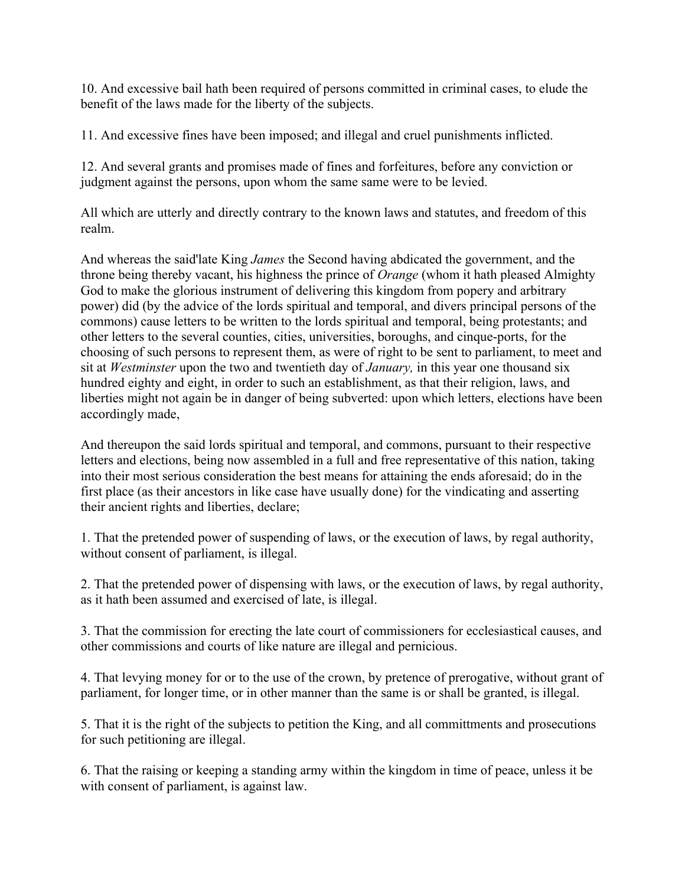10. And excessive bail hath been required of persons committed in criminal cases, to elude the benefit of the laws made for the liberty of the subjects.

11. And excessive fines have been imposed; and illegal and cruel punishments inflicted.

12. And several grants and promises made of fines and forfeitures, before any conviction or judgment against the persons, upon whom the same same were to be levied.

All which are utterly and directly contrary to the known laws and statutes, and freedom of this realm.

And whereas the said'late King *James* the Second having abdicated the government, and the throne being thereby vacant, his highness the prince of *Orange* (whom it hath pleased Almighty God to make the glorious instrument of delivering this kingdom from popery and arbitrary power) did (by the advice of the lords spiritual and temporal, and divers principal persons of the commons) cause letters to be written to the lords spiritual and temporal, being protestants; and other letters to the several counties, cities, universities, boroughs, and cinque-ports, for the choosing of such persons to represent them, as were of right to be sent to parliament, to meet and sit at *Westminster* upon the two and twentieth day of *January,* in this year one thousand six hundred eighty and eight, in order to such an establishment, as that their religion, laws, and liberties might not again be in danger of being subverted: upon which letters, elections have been accordingly made,

And thereupon the said lords spiritual and temporal, and commons, pursuant to their respective letters and elections, being now assembled in a full and free representative of this nation, taking into their most serious consideration the best means for attaining the ends aforesaid; do in the first place (as their ancestors in like case have usually done) for the vindicating and asserting their ancient rights and liberties, declare;

1. That the pretended power of suspending of laws, or the execution of laws, by regal authority, without consent of parliament, is illegal.

2. That the pretended power of dispensing with laws, or the execution of laws, by regal authority, as it hath been assumed and exercised of late, is illegal.

3. That the commission for erecting the late court of commissioners for ecclesiastical causes, and other commissions and courts of like nature are illegal and pernicious.

4. That levying money for or to the use of the crown, by pretence of prerogative, without grant of parliament, for longer time, or in other manner than the same is or shall be granted, is illegal.

5. That it is the right of the subjects to petition the King, and all committments and prosecutions for such petitioning are illegal.

6. That the raising or keeping a standing army within the kingdom in time of peace, unless it be with consent of parliament, is against law.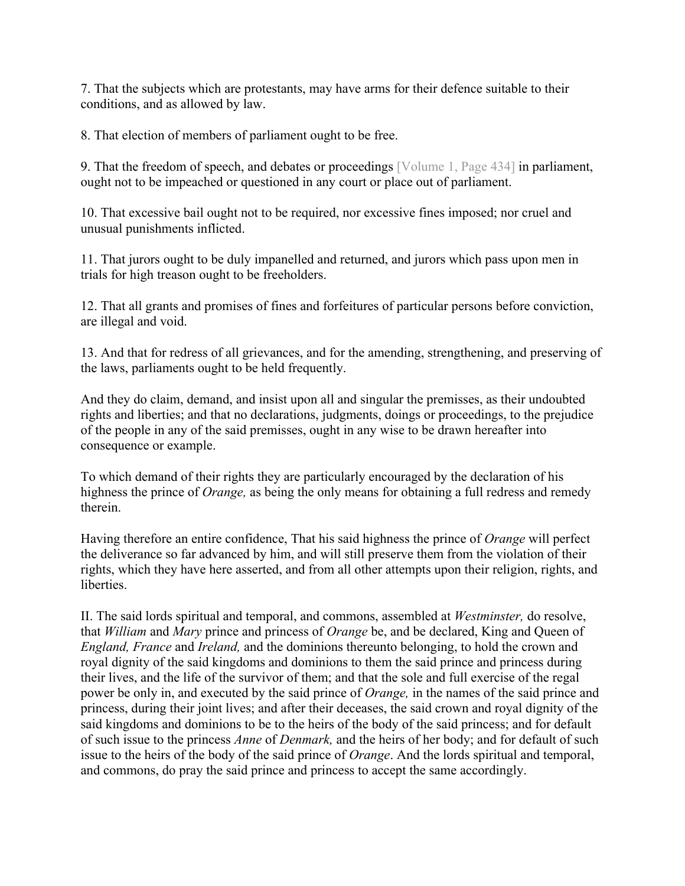7. That the subjects which are protestants, may have arms for their defence suitable to their conditions, and as allowed by law.

8. That election of members of parliament ought to be free.

9. That the freedom of speech, and debates or proceedings [Volume 1, Page 434] in parliament, ought not to be impeached or questioned in any court or place out of parliament.

10. That excessive bail ought not to be required, nor excessive fines imposed; nor cruel and unusual punishments inflicted.

11. That jurors ought to be duly impanelled and returned, and jurors which pass upon men in trials for high treason ought to be freeholders.

12. That all grants and promises of fines and forfeitures of particular persons before conviction, are illegal and void.

13. And that for redress of all grievances, and for the amending, strengthening, and preserving of the laws, parliaments ought to be held frequently.

And they do claim, demand, and insist upon all and singular the premisses, as their undoubted rights and liberties; and that no declarations, judgments, doings or proceedings, to the prejudice of the people in any of the said premisses, ought in any wise to be drawn hereafter into consequence or example.

To which demand of their rights they are particularly encouraged by the declaration of his highness the prince of *Orange,* as being the only means for obtaining a full redress and remedy therein.

Having therefore an entire confidence, That his said highness the prince of *Orange* will perfect the deliverance so far advanced by him, and will still preserve them from the violation of their rights, which they have here asserted, and from all other attempts upon their religion, rights, and liberties.

II. The said lords spiritual and temporal, and commons, assembled at *Westminster,* do resolve, that *William* and *Mary* prince and princess of *Orange* be, and be declared, King and Queen of *England, France* and *Ireland,* and the dominions thereunto belonging, to hold the crown and royal dignity of the said kingdoms and dominions to them the said prince and princess during their lives, and the life of the survivor of them; and that the sole and full exercise of the regal power be only in, and executed by the said prince of *Orange,* in the names of the said prince and princess, during their joint lives; and after their deceases, the said crown and royal dignity of the said kingdoms and dominions to be to the heirs of the body of the said princess; and for default of such issue to the princess *Anne* of *Denmark,* and the heirs of her body; and for default of such issue to the heirs of the body of the said prince of *Orange*. And the lords spiritual and temporal, and commons, do pray the said prince and princess to accept the same accordingly.